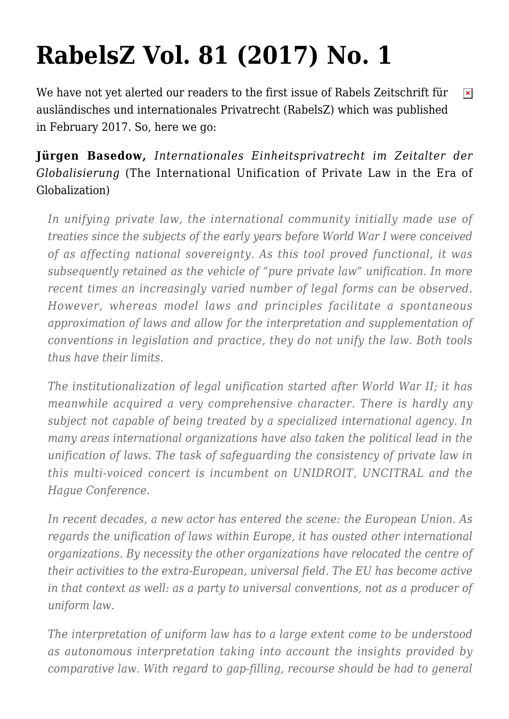# **[RabelsZ Vol. 81 \(2017\) No. 1](https://conflictoflaws.net/2017/rabelsz-vol-81-2017-no-1/)**

We have not yet alerted our readers to the first issue of Rabels Zeitschrift für  $\pmb{\times}$ ausländisches und internationales Privatrecht (RabelsZ) which was published in February 2017. So, here we go:

## **Jürgen Basedow,** *Internationales Einheitsprivatrecht im Zeitalter der Globalisierung* (The International Unification of Private Law in the Era of Globalization)

*In unifying private law, the international community initially made use of treaties since the subjects of the early years before World War I were conceived of as affecting national sovereignty. As this tool proved functional, it was subsequently retained as the vehicle of "pure private law" unification. In more recent times an increasingly varied number of legal forms can be observed. However, whereas model laws and principles facilitate a spontaneous approximation of laws and allow for the interpretation and supplementation of conventions in legislation and practice, they do not unify the law. Both tools thus have their limits.*

*The institutionalization of legal unification started after World War II; it has meanwhile acquired a very comprehensive character. There is hardly any subject not capable of being treated by a specialized international agency. In many areas international organizations have also taken the political lead in the unification of laws. The task of safeguarding the consistency of private law in this multi-voiced concert is incumbent on UNIDROIT, UNCITRAL and the Hague Conference.*

*In recent decades, a new actor has entered the scene: the European Union. As regards the unification of laws within Europe, it has ousted other international organizations. By necessity the other organizations have relocated the centre of their activities to the extra-European, universal field. The EU has become active in that context as well: as a party to universal conventions, not as a producer of uniform law.*

*The interpretation of uniform law has to a large extent come to be understood as autonomous interpretation taking into account the insights provided by comparative law. With regard to gap-filling, recourse should be had to general*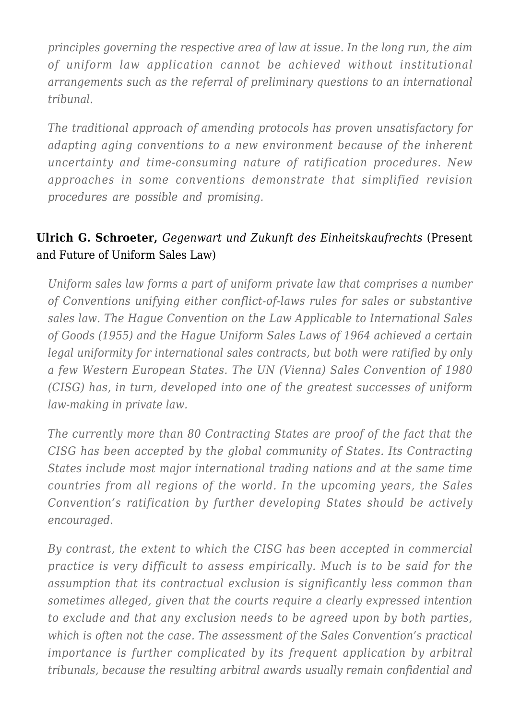*principles governing the respective area of law at issue. In the long run, the aim of uniform law application cannot be achieved without institutional arrangements such as the referral of preliminary questions to an international tribunal.*

*The traditional approach of amending protocols has proven unsatisfactory for adapting aging conventions to a new environment because of the inherent uncertainty and time-consuming nature of ratification procedures. New approaches in some conventions demonstrate that simplified revision procedures are possible and promising.*

### **Ulrich G. Schroeter,** *Gegenwart und Zukunft des Einheitskaufrechts* (Present and Future of Uniform Sales Law)

*Uniform sales law forms a part of uniform private law that comprises a number of Conventions unifying either conflict-of-laws rules for sales or substantive sales law. The Hague Convention on the Law Applicable to International Sales of Goods (1955) and the Hague Uniform Sales Laws of 1964 achieved a certain legal uniformity for international sales contracts, but both were ratified by only a few Western European States. The UN (Vienna) Sales Convention of 1980 (CISG) has, in turn, developed into one of the greatest successes of uniform law-making in private law.*

*The currently more than 80 Contracting States are proof of the fact that the CISG has been accepted by the global community of States. Its Contracting States include most major international trading nations and at the same time countries from all regions of the world. In the upcoming years, the Sales Convention's ratification by further developing States should be actively encouraged.*

*By contrast, the extent to which the CISG has been accepted in commercial practice is very difficult to assess empirically. Much is to be said for the assumption that its contractual exclusion is significantly less common than sometimes alleged, given that the courts require a clearly expressed intention to exclude and that any exclusion needs to be agreed upon by both parties, which is often not the case. The assessment of the Sales Convention's practical importance is further complicated by its frequent application by arbitral tribunals, because the resulting arbitral awards usually remain confidential and*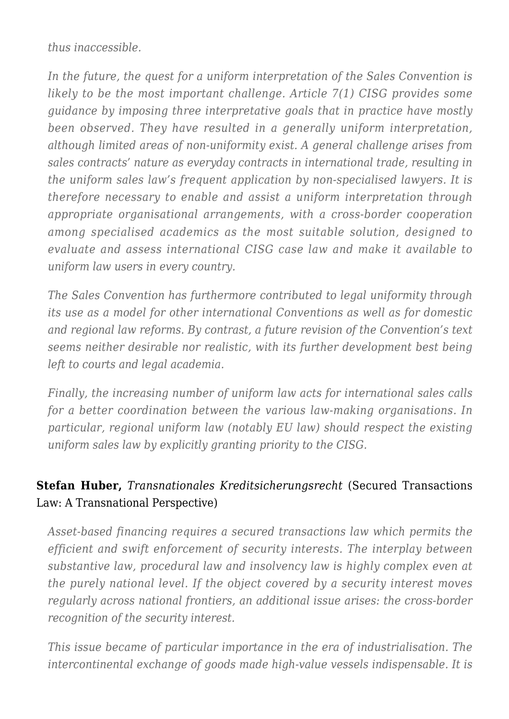*thus inaccessible.*

*In the future, the quest for a uniform interpretation of the Sales Convention is likely to be the most important challenge. Article 7(1) CISG provides some guidance by imposing three interpretative goals that in practice have mostly been observed. They have resulted in a generally uniform interpretation, although limited areas of non-uniformity exist. A general challenge arises from sales contracts' nature as everyday contracts in international trade, resulting in the uniform sales law's frequent application by non-specialised lawyers. It is therefore necessary to enable and assist a uniform interpretation through appropriate organisational arrangements, with a cross-border cooperation among specialised academics as the most suitable solution, designed to evaluate and assess international CISG case law and make it available to uniform law users in every country.*

*The Sales Convention has furthermore contributed to legal uniformity through its use as a model for other international Conventions as well as for domestic and regional law reforms. By contrast, a future revision of the Convention's text seems neither desirable nor realistic, with its further development best being left to courts and legal academia.*

*Finally, the increasing number of uniform law acts for international sales calls for a better coordination between the various law-making organisations. In particular, regional uniform law (notably EU law) should respect the existing uniform sales law by explicitly granting priority to the CISG.*

### **Stefan Huber,** *Transnationales Kreditsicherungsrecht* (Secured Transactions Law: A Transnational Perspective)

*Asset-based financing requires a secured transactions law which permits the efficient and swift enforcement of security interests. The interplay between substantive law, procedural law and insolvency law is highly complex even at the purely national level. If the object covered by a security interest moves regularly across national frontiers, an additional issue arises: the cross-border recognition of the security interest.*

*This issue became of particular importance in the era of industrialisation. The intercontinental exchange of goods made high-value vessels indispensable. It is*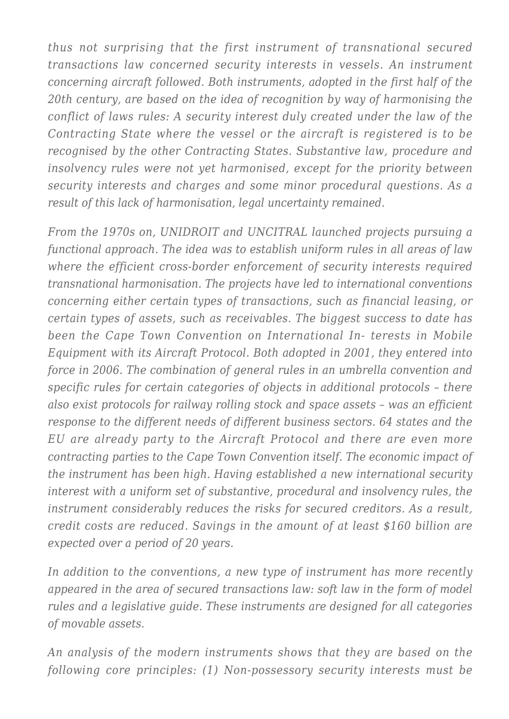*thus not surprising that the first instrument of transnational secured transactions law concerned security interests in vessels. An instrument concerning aircraft followed. Both instruments, adopted in the first half of the 20th century, are based on the idea of recognition by way of harmonising the conflict of laws rules: A security interest duly created under the law of the Contracting State where the vessel or the aircraft is registered is to be recognised by the other Contracting States. Substantive law, procedure and insolvency rules were not yet harmonised, except for the priority between security interests and charges and some minor procedural questions. As a result of this lack of harmonisation, legal uncertainty remained.*

*From the 1970s on, UNIDROIT and UNCITRAL launched projects pursuing a functional approach. The idea was to establish uniform rules in all areas of law where the efficient cross-border enforcement of security interests required transnational harmonisation. The projects have led to international conventions concerning either certain types of transactions, such as financial leasing, or certain types of assets, such as receivables. The biggest success to date has been the Cape Town Convention on International In- terests in Mobile Equipment with its Aircraft Protocol. Both adopted in 2001, they entered into force in 2006. The combination of general rules in an umbrella convention and specific rules for certain categories of objects in additional protocols – there also exist protocols for railway rolling stock and space assets – was an efficient response to the different needs of different business sectors. 64 states and the EU are already party to the Aircraft Protocol and there are even more contracting parties to the Cape Town Convention itself. The economic impact of the instrument has been high. Having established a new international security interest with a uniform set of substantive, procedural and insolvency rules, the instrument considerably reduces the risks for secured creditors. As a result, credit costs are reduced. Savings in the amount of at least \$160 billion are expected over a period of 20 years.*

*In addition to the conventions, a new type of instrument has more recently appeared in the area of secured transactions law: soft law in the form of model rules and a legislative guide. These instruments are designed for all categories of movable assets.*

*An analysis of the modern instruments shows that they are based on the following core principles: (1) Non-possessory security interests must be*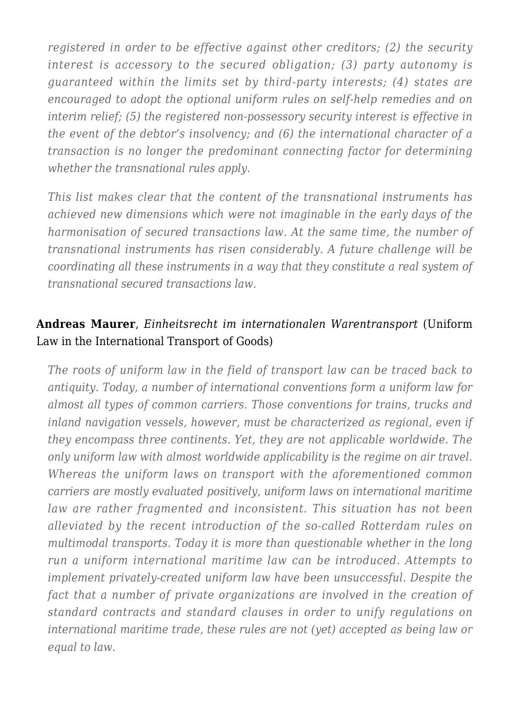*registered in order to be effective against other creditors; (2) the security interest is accessory to the secured obligation; (3) party autonomy is guaranteed within the limits set by third-party interests; (4) states are encouraged to adopt the optional uniform rules on self-help remedies and on interim relief; (5) the registered non-possessory security interest is effective in the event of the debtor's insolvency; and (6) the international character of a transaction is no longer the predominant connecting factor for determining whether the transnational rules apply.*

*This list makes clear that the content of the transnational instruments has achieved new dimensions which were not imaginable in the early days of the harmonisation of secured transactions law. At the same time, the number of transnational instruments has risen considerably. A future challenge will be coordinating all these instruments in a way that they constitute a real system of transnational secured transactions law.*

#### **Andreas Maurer**, *Einheitsrecht im internationalen Warentransport* (Uniform Law in the International Transport of Goods)

*The roots of uniform law in the field of transport law can be traced back to antiquity. Today, a number of international conventions form a uniform law for almost all types of common carriers. Those conventions for trains, trucks and inland navigation vessels, however, must be characterized as regional, even if they encompass three continents. Yet, they are not applicable worldwide. The only uniform law with almost worldwide applicability is the regime on air travel. Whereas the uniform laws on transport with the aforementioned common carriers are mostly evaluated positively, uniform laws on international maritime law are rather fragmented and inconsistent. This situation has not been alleviated by the recent introduction of the so-called Rotterdam rules on multimodal transports. Today it is more than questionable whether in the long run a uniform international maritime law can be introduced. Attempts to implement privately-created uniform law have been unsuccessful. Despite the fact that a number of private organizations are involved in the creation of standard contracts and standard clauses in order to unify regulations on international maritime trade, these rules are not (yet) accepted as being law or equal to law.*